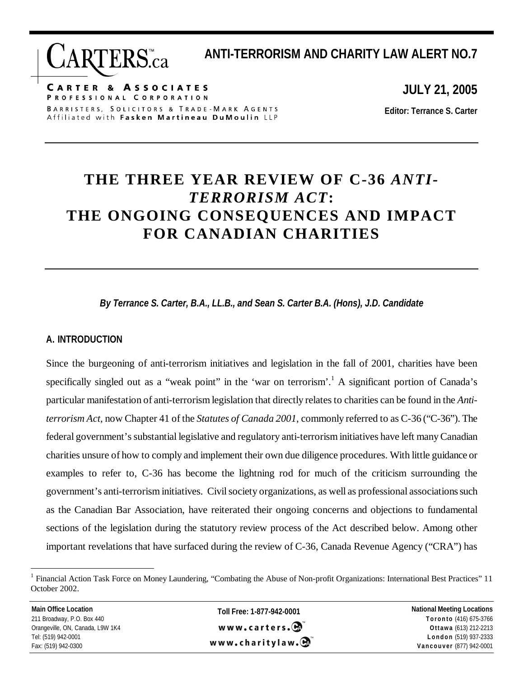**ANTI-TERRORISM AND CHARITY LAW ALERT NO.7** 

**CARTER & ASSOCIATES** PROFESSIONAL CORPORATION BARRISTERS, SOLICITORS & TRADE-MARK AGENTS Affiliated with Fasken Martineau DuMoulin LLP

**JULY 21, 2005** 

**Editor: Terrance S. Carter** 

# **THE THREE YEAR REVIEW OF C-36** *ANTI-TERRORISM ACT***: THE ONGOING CONSEQUENCES AND IMPACT FOR CANADIAN CHARITIES**

*By Terrance S. Carter, B.A., LL.B., and Sean S. Carter B.A. (Hons), J.D. Candidate* 

### **A. INTRODUCTION**

 $\overline{a}$ 

Since the burgeoning of anti-terrorism initiatives and legislation in the fall of 2001, charities have been specifically singled out as a "weak point" in the 'war on terrorism'.<sup>1</sup> A significant portion of Canada's particular manifestation of anti-terrorism legislation that directly relates to charities can be found in the *Antiterrorism Act*, now Chapter 41 of the *Statutes of Canada 2001*, commonly referred to as C-36 ("C-36"). The federal government's substantial legislative and regulatory anti-terrorism initiatives have left many Canadian charities unsure of how to comply and implement their own due diligence procedures. With little guidance or examples to refer to, C-36 has become the lightning rod for much of the criticism surrounding the government's anti-terrorism initiatives. Civil society organizations, as well as professional associations such as the Canadian Bar Association, have reiterated their ongoing concerns and objections to fundamental sections of the legislation during the statutory review process of the Act described below. Among other important revelations that have surfaced during the review of C-36, Canada Revenue Agency ("CRA") has

<sup>1</sup> Financial Action Task Force on Money Laundering, "Combating the Abuse of Non-profit Organizations: International Best Practices" 11 October 2002.

| <b>Main Office Location</b>      | Toll Free: 1-877-942-0001 | <b>National Meeting Locations</b> |
|----------------------------------|---------------------------|-----------------------------------|
| 211 Broadway, P.O. Box 440       |                           | Toronto (416) 675-3766            |
| Orangeville, ON, Canada, L9W 1K4 | www.carters.              | Ottawa (613) 212-2213             |
| Tel: (519) 942-0001              | www.charitylaw.C          | London (519) 937-2333             |
| Fax: (519) 942-0300              |                           | Vancouver (877) 942-0001          |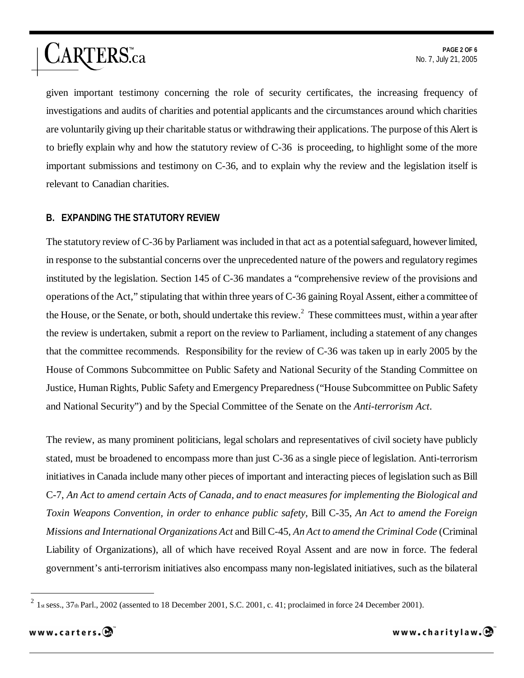given important testimony concerning the role of security certificates, the increasing frequency of investigations and audits of charities and potential applicants and the circumstances around which charities are voluntarily giving up their charitable status or withdrawing their applications. The purpose of this Alert is to briefly explain why and how the statutory review of C-36 is proceeding, to highlight some of the more important submissions and testimony on C-36, and to explain why the review and the legislation itself is relevant to Canadian charities.

#### **B. EXPANDING THE STATUTORY REVIEW**

ARTERS.ca

The statutory review of C-36 by Parliament was included in that act as a potential safeguard, however limited, in response to the substantial concerns over the unprecedented nature of the powers and regulatory regimes instituted by the legislation. Section 145 of C-36 mandates a "comprehensive review of the provisions and operations of the Act," stipulating that within three years of C-36 gaining Royal Assent, either a committee of the House, or the Senate, or both, should undertake this review.<sup>2</sup> These committees must, within a year after the review is undertaken, submit a report on the review to Parliament, including a statement of any changes that the committee recommends. Responsibility for the review of C-36 was taken up in early 2005 by the House of Commons Subcommittee on Public Safety and National Security of the Standing Committee on Justice, Human Rights, Public Safety and Emergency Preparedness ("House Subcommittee on Public Safety and National Security") and by the Special Committee of the Senate on the *Anti-terrorism Act*.

The review, as many prominent politicians, legal scholars and representatives of civil society have publicly stated, must be broadened to encompass more than just C-36 as a single piece of legislation. Anti-terrorism initiatives in Canada include many other pieces of important and interacting pieces of legislation such as Bill C-7, *An Act to amend certain Acts of Canada, and to enact measures for implementing the Biological and Toxin Weapons Convention, in order to enhance public safety*, Bill C-35, *An Act to amend the Foreign Missions and International Organizations Act* and Bill C-45, *An Act to amend the Criminal Code* (Criminal Liability of Organizations), all of which have received Royal Assent and are now in force. The federal government's anti-terrorism initiatives also encompass many non-legislated initiatives, such as the bilateral

<sup>2</sup> 1st sess., 37th Parl., 2002 (assented to 18 December 2001, S.C. 2001, c. 41; proclaimed in force 24 December 2001).



 $\overline{a}$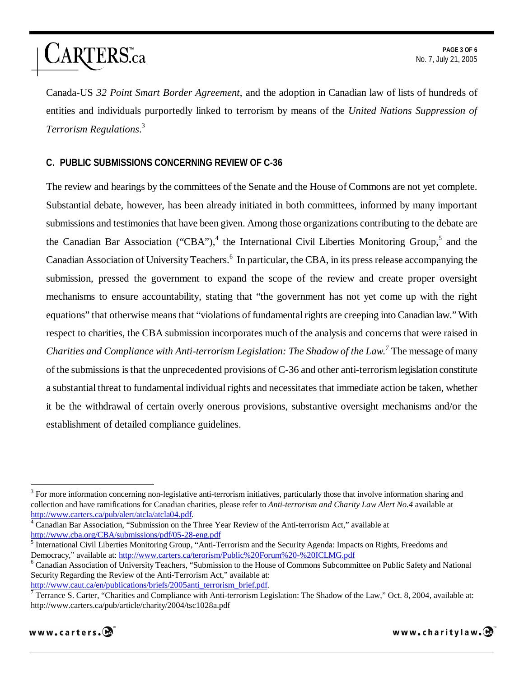# ARTERS.ca

Canada-US *32 Point Smart Border Agreement*, and the adoption in Canadian law of lists of hundreds of entities and individuals purportedly linked to terrorism by means of the *United Nations Suppression of Terrorism Regulations*. 3

# **C. PUBLIC SUBMISSIONS CONCERNING REVIEW OF C-36**

The review and hearings by the committees of the Senate and the House of Commons are not yet complete. Substantial debate, however, has been already initiated in both committees, informed by many important submissions and testimonies that have been given. Among those organizations contributing to the debate are the Canadian Bar Association ("CBA"),<sup>4</sup> the International Civil Liberties Monitoring Group,<sup>5</sup> and the Canadian Association of University Teachers.<sup>6</sup> In particular, the CBA, in its press release accompanying the submission, pressed the government to expand the scope of the review and create proper oversight mechanisms to ensure accountability, stating that "the government has not yet come up with the right equations" that otherwise means that "violations of fundamental rights are creeping into Canadian law." With respect to charities, the CBA submission incorporates much of the analysis and concerns that were raised in *Charities and Compliance with Anti-terrorism Legislation: The Shadow of the Law.<sup>7</sup>* The message of many of the submissions is that the unprecedented provisions of C-36 and other anti-terrorism legislation constitute a substantial threat to fundamental individual rights and necessitates that immediate action be taken, whether it be the withdrawal of certain overly onerous provisions, substantive oversight mechanisms and/or the establishment of detailed compliance guidelines.

Terrance S. Carter, "Charities and Compliance with Anti-terrorism Legislation: The Shadow of the Law," Oct. 8, 2004, available at: http://www.carters.ca/pub/article/charity/2004/tsc1028a.pdf



 $\overline{a}$  $3$  For more information concerning non-legislative anti-terrorism initiatives, particularly those that involve information sharing and collection and have ramifications for Canadian charities, please refer to *Anti-terrorism and Charity Law Alert No.4* available at http://www.carters.ca/pub/alert/atcla/atcla04.pdf.

<sup>&</sup>lt;sup>4</sup> Canadian Bar Association, "Submission on the Three Year Review of the Anti-terrorism Act," available at http://www.cba.org/CBA/submissions/pdf/05-28-eng.pdf

<sup>&</sup>lt;sup>5</sup> International Civil Liberties Monitoring Group, "Anti-Terrorism and the Security Agenda: Impacts on Rights, Freedoms and Democracy," available at: http://www.carters.ca/terorism/Public%20Forum%20-%20ICLMG.pdf <sup>6</sup>

Canadian Association of University Teachers, "Submission to the House of Commons Subcommittee on Public Safety and National Security Regarding the Review of the Anti-Terrorism Act," available at:

http://www.caut.ca/en/publications/briefs/2005anti\_terrorism\_brief.pdf.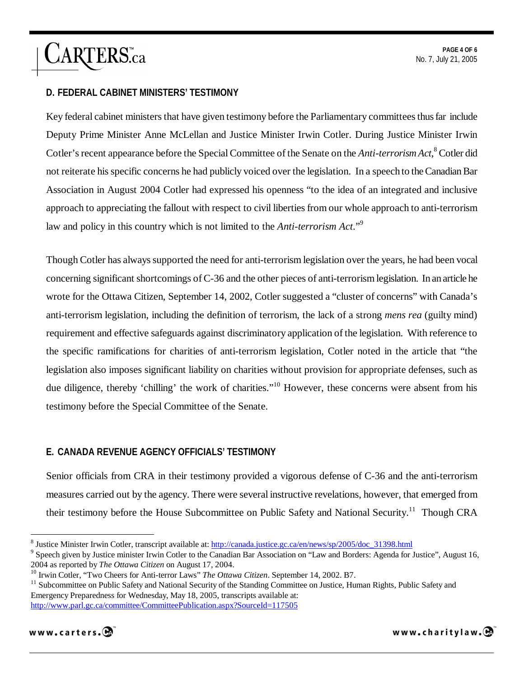# ARTERS.ca

# **D. FEDERAL CABINET MINISTERS' TESTIMONY**

Key federal cabinet ministers that have given testimony before the Parliamentary committees thus far include Deputy Prime Minister Anne McLellan and Justice Minister Irwin Cotler. During Justice Minister Irwin Cotler's recent appearance before the Special Committee of the Senate on the *Anti-terrorism Act*, 8 Cotler did not reiterate his specific concerns he had publicly voiced over the legislation. In a speech to the Canadian Bar Association in August 2004 Cotler had expressed his openness "to the idea of an integrated and inclusive approach to appreciating the fallout with respect to civil liberties from our whole approach to anti-terrorism law and policy in this country which is not limited to the *Anti-terrorism Act*."9

Though Cotler has always supported the need for anti-terrorism legislation over the years, he had been vocal concerning significant shortcomings of C-36 and the other pieces of anti-terrorism legislation. In an article he wrote for the Ottawa Citizen, September 14, 2002, Cotler suggested a "cluster of concerns" with Canada's anti-terrorism legislation, including the definition of terrorism, the lack of a strong *mens rea* (guilty mind) requirement and effective safeguards against discriminatory application of the legislation. With reference to the specific ramifications for charities of anti-terrorism legislation, Cotler noted in the article that "the legislation also imposes significant liability on charities without provision for appropriate defenses, such as due diligence, thereby 'chilling' the work of charities."<sup>10</sup> However, these concerns were absent from his testimony before the Special Committee of the Senate.

### **E. CANADA REVENUE AGENCY OFFICIALS' TESTIMONY**

Senior officials from CRA in their testimony provided a vigorous defense of C-36 and the anti-terrorism measures carried out by the agency. There were several instructive revelations, however, that emerged from their testimony before the House Subcommittee on Public Safety and National Security.<sup>11</sup> Though CRA

<sup>&</sup>lt;sup>10</sup> Irwin Cotler, "Two Cheers for Anti-terror Laws" *The Ottawa Citizen*. September 14, 2002. B7.<br><sup>11</sup> Subcommittee on Public Safety and National Security of the Standing Committee on Justice, Human Rights, Public Safety Emergency Preparedness for Wednesday, May 18, 2005, transcripts available at: http://www.parl.gc.ca/committee/CommitteePublication.aspx?SourceId=117505



 $\overline{a}$ 

www.charitylaw. $\mathbf{\Theta}$ 

<sup>&</sup>lt;sup>8</sup> Justice Minister Irwin Cotler, transcript available at:  $\frac{http://canada.justice.gc.ca/en/news/sp/2005/doc-31398.html}{\text{Speedation on "I aw and Border: A cond for I-wu}}$ 

<sup>&</sup>lt;sup>9</sup> Speech given by Justice minister Irwin Cotler to the Canadian Bar Association on "Law and Borders: Agenda for Justice", August 16, 2004 as reported by *The Ottawa Citizen* on August 17, 2004.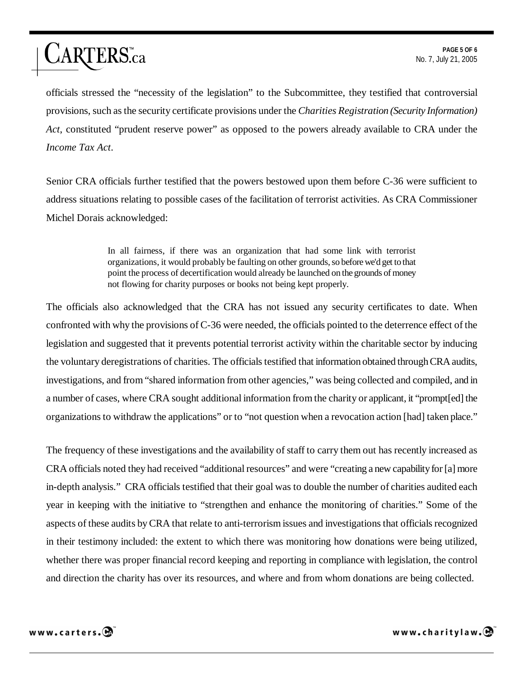officials stressed the "necessity of the legislation" to the Subcommittee, they testified that controversial provisions, such as the security certificate provisions under the *Charities Registration (Security Information) Act*, constituted "prudent reserve power" as opposed to the powers already available to CRA under the *Income Tax Act*.

Senior CRA officials further testified that the powers bestowed upon them before C-36 were sufficient to address situations relating to possible cases of the facilitation of terrorist activities. As CRA Commissioner Michel Dorais acknowledged:

> In all fairness, if there was an organization that had some link with terrorist organizations, it would probably be faulting on other grounds, so before we'd get to that point the process of decertification would already be launched on the grounds of money not flowing for charity purposes or books not being kept properly.

The officials also acknowledged that the CRA has not issued any security certificates to date. When confronted with why the provisions of C-36 were needed, the officials pointed to the deterrence effect of the legislation and suggested that it prevents potential terrorist activity within the charitable sector by inducing the voluntary deregistrations of charities. The officials testified that information obtained through CRA audits, investigations, and from "shared information from other agencies," was being collected and compiled, and in a number of cases, where CRA sought additional information from the charity or applicant, it "prompt[ed] the organizations to withdraw the applications" or to "not question when a revocation action [had] taken place."

The frequency of these investigations and the availability of staff to carry them out has recently increased as CRA officials noted they had received "additional resources" and were "creating a new capability for [a] more in-depth analysis." CRA officials testified that their goal was to double the number of charities audited each year in keeping with the initiative to "strengthen and enhance the monitoring of charities." Some of the aspects of these audits by CRA that relate to anti-terrorism issues and investigations that officials recognized in their testimony included: the extent to which there was monitoring how donations were being utilized, whether there was proper financial record keeping and reporting in compliance with legislation, the control and direction the charity has over its resources, and where and from whom donations are being collected.



ARTERS.ca

www.charitylaw. $\mathbf{\Theta}$